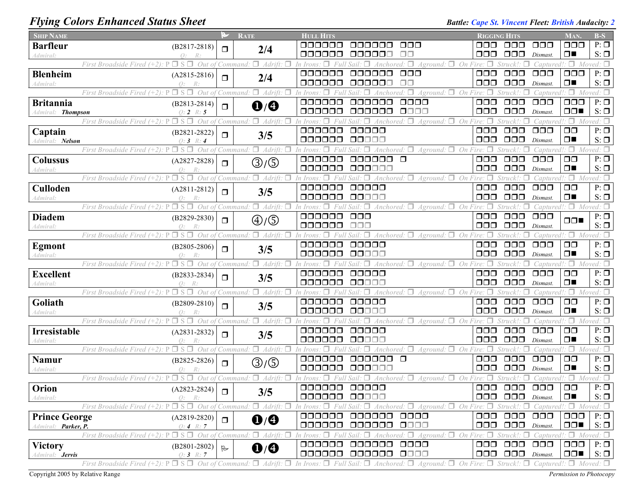## *Flying Colors Enhanced Status Sheet Battle: Cape St. Vincent Fleet: British Audacity: 2 Battle: Cape St. Vincent Fleet: British Audacity: 2*

| <b>SHIP NAME</b>       |                                                                                                          | P      | <b>RATE</b>                       | <b>HULL HITS</b>                                                                                                                                                                                                      | <b>RIGGING HITS</b>  |                                                        |                                                                 | Man.                                     | $B-S$                  |
|------------------------|----------------------------------------------------------------------------------------------------------|--------|-----------------------------------|-----------------------------------------------------------------------------------------------------------------------------------------------------------------------------------------------------------------------|----------------------|--------------------------------------------------------|-----------------------------------------------------------------|------------------------------------------|------------------------|
| <b>Barfleur</b>        | $(B2817 - 2818)$                                                                                         | Π      | 2/4                               | ooooo<br>000<br>000000                                                                                                                                                                                                | OOO                  | 000                                                    | $\Box$ $\Box$                                                   | 000                                      | $P: \Box$              |
| Admiral:               | $Q$ :                                                                                                    |        |                                   | aaaaaa<br>oooooc                                                                                                                                                                                                      | 000                  | $\Box$ $\Box$                                          | Dismast.                                                        | $\Box$                                   | $S: \Box$              |
|                        | $P \Box S \Box$<br>Out of<br>First Broadside Fired (+2)                                                  |        | $\Box$ Adrift.<br>Command.        | $Aground: \Box$ On Fire: $\Box$<br>$\Box$<br>Anchored                                                                                                                                                                 |                      |                                                        | Captured!                                                       | $\Box$ Moved: $\Box$                     |                        |
| <b>Blenheim</b>        | $(A2815-2816)$                                                                                           | $\Box$ | 2/4                               | 000000<br>$\Box$ $\Box$<br>000000                                                                                                                                                                                     | $\Box$ $\Box$        | $\Box$ $\Box$                                          | $\Box$ $\Box$ $\Box$                                            | $\Box$ $\Box$                            | $P: \Box$              |
| Admiral:               | $Q$ :<br>R:<br>$P \Box S \Box$                                                                           |        |                                   | 000000<br>000000<br>⊓⊓                                                                                                                                                                                                | 000                  | $\Box$ $\Box$                                          | Dismast.                                                        | $\Box$                                   | $S: \Box$              |
|                        | Out of<br>First Broadside Fired (+2).                                                                    |        | $\Box$ Adrift.<br>'Command.       | $Aground:$ $\Box$ On Fire: $\Box$<br>000000<br>aaaaaa<br>0000                                                                                                                                                         | $\Box$ $\Box$        | Struck!:<br>$\Box$ $\Box$                              | Captured.<br>$\Box$ $\Box$                                      | $\Box$ Moved: $\Box$<br>$\Box \Box \Box$ | $P: \Box$              |
| <b>Britannia</b>       | $(B2813 - 2814)$                                                                                         | $\Box$ | $\mathbf{0}/\mathbf{0}$           | 000000<br>0000<br>000000                                                                                                                                                                                              | 000                  | $\Box$ $\Box$                                          | Dismast.                                                        | $\Box$                                   | $S: \Box$              |
| Admiral: Thompson      | $0:2 \; R:5$<br>First Broadside Fired $(+2)$ : P<br>$\square$ s $\square$<br>Out of                      |        | Command: $\Box$ Adrift.           | Aground: $\Box$ On                                                                                                                                                                                                    |                      |                                                        | Captured!                                                       | $\Box$ Moved: $\Box$                     |                        |
| Captain                |                                                                                                          |        |                                   | 000000<br>00000                                                                                                                                                                                                       | $\Box$ $\Box$        | $\Box$ $\Box$                                          | $\Box$ $\Box$                                                   | $\Box$ $\Box$                            | $P: \Box$              |
| Admiral: Nelson        | $(B2821 - 2822)$<br>$0:3 \; R:4$                                                                         | $\Box$ | 3/5                               | 000000<br>88888                                                                                                                                                                                                       | ooo                  | $\Box$ $\Box$                                          | Dismast.                                                        | $\Box$                                   | $S: \Box$              |
|                        | $P \Box S \Box$<br>Out of<br>First Broadside Fired (+2).                                                 |        | $\Box$ Adrift.<br>П<br>Command    | Anchored: $\square$<br>$A$ ground: $\Box$ On Fire:                                                                                                                                                                    |                      | Struck!:                                               | Captured.                                                       | $\Box$ Moved: $\Box$                     |                        |
| <b>Colussus</b>        | $(A2827-2828)$                                                                                           |        |                                   | 000000<br>$\Box$<br>000000                                                                                                                                                                                            | $\Box \Box \Box$     | $\Box$ $\Box$                                          | $\Box$ $\Box$                                                   | $\Box$ $\Box$                            | $P: \Box$              |
| Admiral:               |                                                                                                          | $\Box$ | ③/⑤                               | 000000<br>000000                                                                                                                                                                                                      | $\Box$ $\Box$        | $\Box$ $\Box$ $\Box$                                   | Dismast.                                                        | $\Box$                                   | $S: \Box$              |
|                        | $P \Box$<br>Out of<br>First Broadside Fired (+2):                                                        |        | $\Box$ Adrift.<br>Command:        | Aground: $\Box$<br>On<br>Anchored.                                                                                                                                                                                    |                      | Struck!:                                               | Capture                                                         | $\Box$                                   | Moved: $\Box$          |
| Culloden               | $(A2811-2812)$                                                                                           | $\Box$ | 3/5                               | 000000<br>00000                                                                                                                                                                                                       | $\Box$ $\Box$        | $\Box$ $\Box$                                          | $\Box$ $\Box$                                                   | $\Box$ $\Box$                            | $P: \Box$              |
| Admiral:               | $\Omega$ :                                                                                               |        |                                   | 000000<br>ooooo                                                                                                                                                                                                       | ooo                  | $\Box$ $\Box$                                          | Dismast.                                                        | $\Box$                                   | $S: \Box$              |
|                        | First Broadside Fired (+2)<br>Out of                                                                     |        | п.<br>Adrift.<br>Command:         | Anchored: $\Box$ Aground: $\Box$ On Fire:                                                                                                                                                                             |                      | Struck'                                                | Captured!                                                       | $\Box$ Moved: $\Box$                     |                        |
| <b>Diadem</b>          | $(B2829-2830)$                                                                                           | $\Box$ | $\textcircled{4}/\textcircled{5}$ | 000000<br>$\Box$ $\Box$                                                                                                                                                                                               | $\Box$ $\Box$        | $\Box$ $\Box$                                          | $\Box$ $\Box$                                                   | $\Box \Box$                              | $P: \Box$              |
| Admiral:               |                                                                                                          |        |                                   | 000000<br>ooo                                                                                                                                                                                                         | $\Box \Box \Box$     | $\Box$ $\Box$                                          | Dismast.                                                        |                                          | $S: \Box$              |
|                        | п.<br>$\Box$<br>Out of<br>First Broadside Fired (+2).                                                    |        | $\Box$ Adrift.<br>П<br>Command:   | Anchored: $\Box$ Aground: $\Box$ On Fire: $\Box$<br>п                                                                                                                                                                 |                      | Struck!:<br>п                                          | Captured!                                                       | $\Box$ Moved: $\Box$                     |                        |
| <b>Egmont</b>          | $(B2805-2806)$                                                                                           | $\Box$ | 3/5                               | 000000<br>00000                                                                                                                                                                                                       | $\Box$ $\Box$        | $\Box$ $\Box$                                          | $\Box$ $\Box$ $\Box$                                            | $\Box$ $\Box$                            | $P: \Box$              |
| Admiral:               |                                                                                                          |        |                                   | 000000<br>00000                                                                                                                                                                                                       | $\Box$ $\Box$        | $\Box$ $\Box$                                          | Dismast.                                                        | $\Box$                                   | $S: \Box$              |
|                        | $P \Box S \Box$<br>Out of<br>First Broadside Fired (+2).                                                 |        | Command: $\Box$ Adrift.<br>П      | $Aground:$ $\Box$ On Fire: $\Box$<br>Anchored: $\Box$<br>In Irons<br>п                                                                                                                                                |                      | Struck!:                                               | Captured.                                                       | $\Box$ Moved: $\Box$                     | $P: \Box$              |
| <b>Excellent</b>       | $(B2833-2834)$                                                                                           | $\Box$ | 3/5                               | 000000<br>00000<br>000000<br>00000                                                                                                                                                                                    | $\Box$ $\Box$<br>ooo | $\Box$ $\Box$<br>$\Box$ $\Box$                         | $\Box$ $\Box$<br>Dismast.                                       | $\Box$ $\Box$<br>$\Box$                  | $S: \Box$              |
| Admiral:               | $\bigcap$ :<br>$\Box$ S $\Box$<br>First Broadside Fired (+2).<br>$Out\,$                                 |        | $\Box$ Adrift.<br>п<br>Command:   | On<br>Anchored:<br>$A$ ground: $\Box$                                                                                                                                                                                 |                      | Struck!                                                | Captured.                                                       | $\Box$ Moved: $\Box$                     |                        |
| Goliath                |                                                                                                          |        |                                   | 000000<br>00000                                                                                                                                                                                                       | $\Box$ $\Box$        | $\Box$ $\Box$                                          | $\Box$ $\Box$                                                   | $\Box$ $\Box$                            | $P: \Box$              |
| Admiral:               | $(B2809 - 2810)$<br>$\Omega$ :                                                                           | $\Box$ | 3/5                               | 000000<br>88888                                                                                                                                                                                                       | ooo                  | $\Box$ $\Box$                                          | Dismast.                                                        | $\Box$                                   | $S: \Box$              |
|                        | First Broadside Fired $(+2)$ : $P \Box S \Box$ Out of                                                    |        | Command: $\Box$ Adrift: $\Box$    | Anchored: $\Box$ Aground: $\Box$ On Fire:                                                                                                                                                                             |                      | Struck!:                                               | Captured!                                                       | $\Box$ Moved: $\Box$                     |                        |
| Irresistable           | $(A2831 - 2832)$                                                                                         |        |                                   | 000000<br>00000                                                                                                                                                                                                       | 000                  | $\Box$ $\Box$                                          | $\Box$ $\Box$                                                   | $\Box$ $\Box$                            | $P: \Box$              |
| Admiral:               |                                                                                                          | ◘      | 3/5                               | 000000<br>00000                                                                                                                                                                                                       | 000                  | $\Box$ $\Box$                                          | Dismast.                                                        | $\Box$                                   | $S: \Box$              |
|                        | First Broadside Fired (+2)<br>Out of                                                                     |        | $\Box$ Adrift:<br>П<br>Command:   | $A$ ground: $\Box$ On<br>Anchored:                                                                                                                                                                                    |                      | Struck!:                                               | Captured                                                        | Π.                                       | Moved: $\Box$          |
| Namur                  | $(B2825 - 2826)$                                                                                         | $\Box$ | ③/⑤                               | $\Box$<br>000000<br>000000                                                                                                                                                                                            | $\Box$ $\Box$        | $\Box$ $\Box$                                          | $\Box$ $\Box$                                                   | $\Box$ $\Box$                            | $P: \Box$              |
| Admiral:               | $\Omega$ :                                                                                               |        |                                   | 000000<br>000000                                                                                                                                                                                                      | 000                  | $\Box$ $\Box$ $\Box$                                   | Dismast.                                                        | $\Box$                                   | $S: \Box$              |
|                        | Out of<br>First Broadside Fired (+2)                                                                     |        | $\Box$ Adrift:<br>□<br>Command:   | $A$ ground: $\Box$<br>Anchored:                                                                                                                                                                                       | On Fire:             | Struck!:                                               | Captured.                                                       | $\Box$                                   | Moved: $\square$       |
| Orion                  | $(A2823 - 2824)$                                                                                         | $\Box$ | 3/5                               | 000000<br>00000                                                                                                                                                                                                       | $\Box$ $\Box$        | $\Box$ $\Box$                                          | $\Box$ $\Box$                                                   | $\Box$ $\Box$                            | $P: \Box$              |
| Admiral:               | - R:                                                                                                     |        |                                   | 000000 00000                                                                                                                                                                                                          |                      | $\Box$ $\Box$ $\Box$ $\Box$ $Dismast$ .                |                                                                 | $\Box$                                   | $S: \Box$              |
|                        | First Broadside Fired (+2): $P \Box S \Box$ Out of Command: $\Box$ Adrift: $\Box$                        |        |                                   | In Irons: $\Box$ Full Sail: $\Box$ Anchored: $\Box$ Aground: $\Box$ On Fire: $\Box$ Struck!: $\Box$ Captured!: $\Box$ Moved: $\Box$                                                                                   |                      |                                                        |                                                                 |                                          |                        |
| <b>Prince George</b>   | $(A2819-2820)$                                                                                           | $\Box$ | $\mathbf{O}/\mathbf{O}$           | 000000 000000 0000                                                                                                                                                                                                    |                      | 000 000 000                                            |                                                                 | $\Box$ $\Box$                            | $P: \Box$              |
| Admiral: Parker, P.    | 0:4 R:7                                                                                                  |        |                                   | 000000 000000 0000                                                                                                                                                                                                    |                      | $\Box$ $\Box$ $\Box$ $\Box$ $\Box$ $\Box$ $\Box$       |                                                                 | $\Box$                                   | $S: \Box$              |
|                        |                                                                                                          |        |                                   | First Broadside Fired (+2): $P \Box S \Box$ Out of Command: $\Box$ Adrift: $\Box$ In Irons: $\Box$ Full Sail: $\Box$ Anchored: $\Box$ Aground: $\Box$ On Fire: $\Box$ Struck!: $\Box$ Captured!: $\Box$ Moved: $\Box$ |                      |                                                        |                                                                 |                                          |                        |
| <b>Victory</b>         | $(B2801-2802)$                                                                                           | R      | $\mathbf{O}/\mathbf{O}$           | 000000 000000 0000<br>000000 000000 0000                                                                                                                                                                              |                      | 000 000 000<br>$\Box$ $\Box$ $\Box$ $\Box$ $Dismast$ . |                                                                 | $\Box$ $\Box$<br>$\Box$                  | $P: \Box$<br>$S: \Box$ |
| Admiral: <b>Jervis</b> | $Q: 3 \; R: 7$<br>First Broadside Fired $(+2)$ : P $\Box$ S $\Box$ Out of Command: $\Box$ Adrift: $\Box$ |        |                                   | In Irons: $\Box$ Full Sail: $\Box$ Anchored: $\Box$ Aground: $\Box$                                                                                                                                                   |                      |                                                        | On Fire: $\Box$ Struck!: $\Box$ Captured!: $\Box$ Moved: $\Box$ |                                          |                        |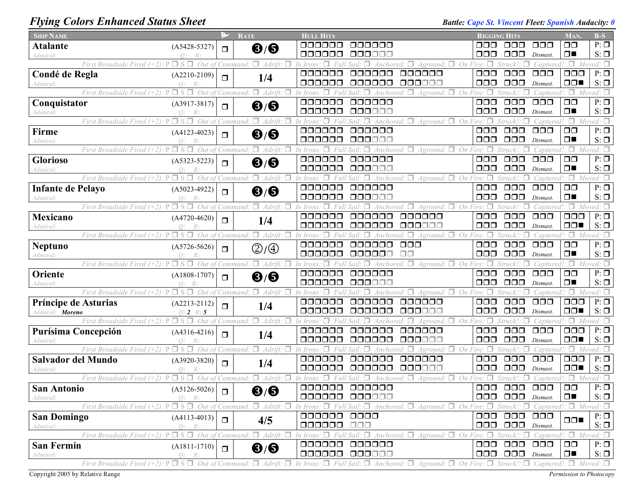## *Flying Colors Enhanced Status Sheet Battle: Cape St. Vincent Fleet: Spanish Audacity: 0*

| <b>SHIP NAME</b>                                                                  | P.                 | <b>RATE</b>             | <b>HULL HITS</b>                                                                                                                                                                                                      |                                     | <b>RIGGING HITS</b>                     | <b>MAN</b>           | $B-S$            |
|-----------------------------------------------------------------------------------|--------------------|-------------------------|-----------------------------------------------------------------------------------------------------------------------------------------------------------------------------------------------------------------------|-------------------------------------|-----------------------------------------|----------------------|------------------|
| <b>Atalante</b><br>$(A5428-5327)$                                                 | $\Box$             | $\mathbf{6}/\mathbf{6}$ | 000000<br>000000                                                                                                                                                                                                      | ooo                                 | $\Box$ $\Box$ $\Box$<br>000.            | $\Box$ $\Box$        | $P: \Box$        |
| Admiral:<br>$\bigcap$ :                                                           |                    |                         | 000000<br>000000                                                                                                                                                                                                      | ooo                                 | $\Box$ $\Box$<br>Dismast.               | $\Box$               | $S: \Box$        |
| $\Box$ S $\Box$<br>First Broadside Fired (+2): P                                  | Out of<br>Command. | $\Box$ Adrift:          | 'n Iron.<br>4ground:                                                                                                                                                                                                  | On<br>$\Box$                        | captured:                               | $\Box$ Moved: $\Box$ |                  |
| Condé de Regla<br>$(A2210-2109)$                                                  |                    |                         | 000000<br>000000<br>aaaaaa                                                                                                                                                                                            | $\Box$ $\Box$                       | ooo<br>$\Box$ $\Box$                    | $\Box$ $\Box$        | $P: \Box$        |
| $\Omega$ :<br>4dmiral                                                             | $\Box$             | 1/4                     | 000000<br>000000<br>000000                                                                                                                                                                                            | 000                                 | $\Box$ $\Box$<br>Dismast.               | $\Box$               | $S: \Box$        |
| First Broadside Fired (+2): P<br>$\Box$ S $\Box$ Out of                           | Command            | п.<br>Adrift.           | Aground:                                                                                                                                                                                                              | $\Box$ On                           | 'aptured!                               | Π.                   | Moved: $\square$ |
| Conquistator<br>$(A3917-3817)$                                                    |                    |                         | 000000<br>000000                                                                                                                                                                                                      | $\Box$ $\Box$                       | $\Box$ $\Box$<br>$\Box$ $\Box$          | $\Box$ $\Box$        | $P: \Box$        |
| $\Omega$ :<br>4dmiral:                                                            | $\Box$             | ❸/❸                     | 000000<br>000000                                                                                                                                                                                                      | $\Box \Box \Box$                    | $\Box$ $\Box$<br>Dismast.               | $\Box$               | $S: \Box$        |
| First Broadside Fired $(+2)$ : P<br>$\Box$ S $\Box$                               | Out of<br>Command: | $\Box$ Adrift: $\Box$   | Anchored: $\square$<br>In Iroi                                                                                                                                                                                        | $A$ ground: $\Box$<br>On Fire:<br>п | Struck!:<br>Captured!                   | 9⊡.                  | Moved: $\square$ |
| Firme<br>$(A4123-4023)$                                                           |                    |                         | 000000<br>000000                                                                                                                                                                                                      | $\Box$ $\Box$                       | $\Box$ $\Box$<br>$\Box$ $\Box$          | $\Box$               | $P: \Box$        |
| 4dmiral:<br>$\Omega$ :                                                            | $\Box$             | $\mathbf{6}/\mathbf{6}$ | 000000<br>000000                                                                                                                                                                                                      | 000                                 | $\Box \Box \Box$<br>Dismast.            | $\Box$               | $S: \Box$        |
| $\square$ s $\square$<br>First Broadside Fired (+2):                              | Out of<br>Command: | $\Box$ Adrift:          | Anchored: $\Box$<br>'n Irons                                                                                                                                                                                          | Aground:<br>On                      | Struck!:<br>Captured!                   | ۰. ص                 | Moved: $\Box$    |
| <b>Glorioso</b>                                                                   |                    |                         | 000000<br>000000                                                                                                                                                                                                      | $\Box$ $\Box$                       | $\Box$ $\Box$<br>$\Box$ $\Box$          | $\Box$               | $P: \Box$        |
| $(A5323 - 5223)$<br>$\Omega$ :                                                    | $\Box$             | ❸/❸                     | 000000<br>000000                                                                                                                                                                                                      | 000                                 | $\Box \Box \Box$<br>Dismast.            | $\Box$               | $S: \Box$        |
| 4dmiral:<br>First Broadside Fired (+2).                                           | Out                | Adrift.                 | Aground:                                                                                                                                                                                                              | On                                  | Struck!:<br>aptured!                    | $\Box$               |                  |
|                                                                                   | Command            |                         | 000000<br>000000                                                                                                                                                                                                      | $\Box$ $\Box$                       | $\Box \Box \Box$<br>$\Box$ $\Box$       | $\Box$ $\Box$        | $P: \Box$        |
| <b>Infante de Pelayo</b><br>$(A5023-4922)$                                        | $\Box$             | $\mathbf{6}/\mathbf{6}$ | 000000<br>000000                                                                                                                                                                                                      | $\Box \Box \Box$                    | $\Box \Box \Box$                        | $\Box$               | $S: \Box$        |
| Admiral:<br>$\Omega$ :                                                            |                    |                         |                                                                                                                                                                                                                       |                                     | Dismast.                                |                      |                  |
| $\Box$ S $\Box$<br>First Broadside Fired $(+2)$ : P                               | Out of<br>Command: | $\Box$ Adrift:          | In Irons                                                                                                                                                                                                              | Aground: $\Box$<br>On Fire: $\Box$  | Struck!:<br>Captured!                   | $\Box$ Moved: $\Box$ |                  |
| <b>Mexicano</b><br>$(A4720-4620)$                                                 | $\Box$             | 1/4                     | 000000<br>000000<br>000000                                                                                                                                                                                            | $\Box$ $\Box$                       | $\Box$ $\Box$<br>$\Box$ $\Box$          | $\Box$ $\Box$        | $P: \Box$        |
| Admiral:<br>$\bigcap$ :                                                           |                    |                         | 000000<br>000000<br>000000                                                                                                                                                                                            | $\Box$ $\Box$                       | $\Box$ $\Box$<br>Dismast.               | $\Box$               | $S: \Box$        |
| $\square$ s $\square$<br>First Broadside Fired $(+2)$ : P                         | Out of<br>Command. | π.<br>Adrift.           | п.<br>In Irons<br>Anchored                                                                                                                                                                                            | On Fire: $\Box$<br>Aground: $\Box$  | Struck!:<br>Captured!                   | $\Box$ Moved: $\Box$ |                  |
| <b>Neptuno</b><br>$(A5726-5626)$                                                  | $\Box$             | ②/④                     | 000000<br>000000<br>$\Box \Box \Box$                                                                                                                                                                                  | $\Box$ $\Box$                       | $\Box$ $\Box$<br>$\Box$ $\Box$          | $\Box$ $\Box$        | $P: \Box$        |
| Admiral:<br>$\Omega$ :                                                            |                    |                         | 000000<br>000000<br>ПП                                                                                                                                                                                                | 000                                 | $\Box$ $\Box$<br>Dismast.               | $\Box$               | $S: \Box$        |
| $\Box$ S $\Box$<br>First Broadside Fired $(+2)$ : P                               | Out of<br>Command. | $\Box$ Adrift:          | $\Box$<br>In Irons<br>Anchored:<br>Sail                                                                                                                                                                               | $Aground:$ $\Box$ On Fire: $\Box$   | Struck!.<br>Captured.                   | $\Box$               | Moved: $\Box$    |
| Oriente<br>$(A1808-1707)$                                                         | $\Box$             | $\mathbf{6}/\mathbf{6}$ | 000000<br>000000                                                                                                                                                                                                      | $\Box$ $\Box$                       | $\Box \Box \Box$<br>000                 | $\Box$ $\Box$        | $P: \Box$        |
| Admiral:<br>$\Omega$ :                                                            |                    |                         | 000000<br>000000                                                                                                                                                                                                      | 000                                 | 000<br>Dismast.                         | $\Box$               | $S: \Box$        |
| $\Box$ S $\Box$<br>First Broadside Fired $(+2)$ : P                               | Out of<br>Command: | $\Box$ Adrift: $\Box$   |                                                                                                                                                                                                                       | $A$ ground: $\Box$ On Fire:         | `aptured.                               | Π.                   | oved: $\Box$     |
| Príncipe de Asturias<br>$(A2213-2112)$                                            | $\Box$             | 1/4                     | 000000<br>naaaaa<br>000000                                                                                                                                                                                            | 000                                 | $\Box \Box \Box$<br>$\Box$ $\Box$       | $\Box$ $\Box$        | $P: \Box$        |
| Admiral: <b>Moreno</b><br>$0:2 \; R:5$                                            |                    |                         | 000000<br>anaana<br>888888                                                                                                                                                                                            | $\Box$ $\Box$                       | $\Box$ $\Box$<br>Dismast.               | $\Box$               | $S: \Box$        |
| First Broadside Fired (+2): P<br>$\Box$ S $\Box$                                  | Out of<br>Command: | $\Box$ Adrift: $\Box$   | 'n Iron<br>Anchored<br>Aground:                                                                                                                                                                                       | $\Box$ On Fire: $\Box$              | Struck!:<br>Captured!                   | $\Box$ Moved: $\Box$ |                  |
| Purísima Concepción<br>$(A4316-4216)$                                             | $\Box$             | 1/4                     | 000000<br>000000<br>000000                                                                                                                                                                                            | $\Box$ $\Box$                       | $\Box$ $\Box$<br>$\Box$ $\Box$          | 000                  | $P: \Box$        |
| Q:<br>4dmiral:                                                                    | R:                 |                         | 000000<br>000000<br>000000                                                                                                                                                                                            | 000                                 | $\Box \Box \Box$<br>Dismast.            | $\Box$               | $S: \Box$        |
| First Broadside Fired $(+2)$ : P<br>$\Box$ S $\Box$                               | Out of<br>Command. | $\Box$ Adrift: $\Box$   | In Irons<br>Aground.                                                                                                                                                                                                  | On Fire: $\Box$<br>□.               | Struck!:<br>Captured!                   | $\Box$ Moved: $\Box$ |                  |
| Salvador del Mundo<br>$(A3920-3820)$                                              | $\Box$             | 1/4                     | 000000<br>000000<br>oooooo                                                                                                                                                                                            | $\Box$ $\Box$                       | $\Box$ $\Box$<br>$\Box$ $\Box$          | $\Box$ $\Box$        | $P: \Box$        |
| O:<br>4dmiral:                                                                    | R:                 |                         | ooooo<br>000000<br>000000                                                                                                                                                                                             | 000                                 | $\Box$ $\Box$<br>Dismast.               | $\Box$               | $S: \Box$        |
| First Broadside Fired (+2):                                                       | Out<br>Command.    | п.<br>Adrift.           | Aground.                                                                                                                                                                                                              | On Fire:                            | 'aptured!                               | Π.                   | Moved: $\square$ |
| <b>San Antonio</b><br>$(A5126-5026)$                                              | $\Box$             | $\mathbf{6}/\mathbf{6}$ | 000000<br>000000                                                                                                                                                                                                      | $\Box$ $\Box$                       | $\Box$ $\Box$<br>$\Box$ $\Box$          | $\Box$ $\Box$        | $P: \Box$        |
| Admıral:<br>Q:K:                                                                  |                    |                         | 000000 000000                                                                                                                                                                                                         |                                     | $\Box$ $\Box$ $\Box$ $\Box$ $Dismast$ . | ▎□■                  | $S: \Box$        |
|                                                                                   |                    |                         | First Broadside Fired (+2): $P \Box S \Box$ Out of Command: $\Box$ Adrift: $\Box$ In Irons: $\Box$ Full Sail: $\Box$ Anchored: $\Box$ Aground: $\Box$ On Fire: $\Box$ Struck!: $\Box$ Captured!: $\Box$ Moved: $\Box$ |                                     |                                         |                      |                  |
| <b>San Domingo</b><br>$(A4113-4013)$                                              | $\Box$             |                         | 000000 0000                                                                                                                                                                                                           |                                     | 000 000 000                             |                      | $P: \Box$        |
| Admiral:<br>O: R:                                                                 |                    | 4/5                     | 000000 000                                                                                                                                                                                                            |                                     | $\Box$ $\Box$ $\Box$ $\Box$ $Dismast$ . | $\Box$               | $S: \Box$        |
| First Broadside Fired (+2): $P \Box S \Box$ Out of Command: $\Box$ Adrift: $\Box$ |                    |                         | In Irons: $\Box$ Full Sail: $\Box$ Anchored: $\Box$ Aground: $\Box$ On Fire: $\Box$ Struck!: $\Box$ Captured!: $\Box$ Moved: $\Box$                                                                                   |                                     |                                         |                      |                  |
| San Fermín<br>$(A1811-1710)$                                                      |                    |                         | 000000 000000                                                                                                                                                                                                         |                                     | 000 000 000                             | $\Box$ $\Box$        | $P: \Box$        |
| Admiral:<br>O: R:                                                                 | $\Box$             | ❸/❸                     | 000000 000000                                                                                                                                                                                                         |                                     | $\Box$ $\Box$ $\Box$ $\Box$ $Dismast$ . | $\Box$               | $S: \Box$        |
|                                                                                   |                    |                         | First Broadside Fired (+2): $P \Box S \Box$ Out of Command: $\Box$ Adrift: $\Box$ In Irons: $\Box$ Full Sail: $\Box$ Anchored: $\Box$ Aground: $\Box$ On Fire: $\Box$ Struck!: $\Box$ Captured!: $\Box$ Moved: $\Box$ |                                     |                                         |                      |                  |